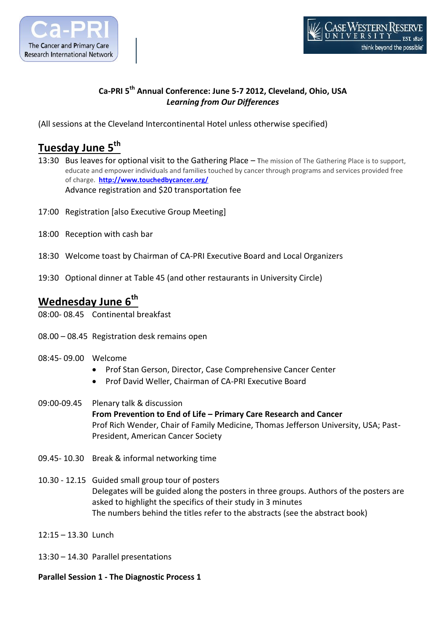



## **Ca-PRI 5th Annual Conference: June 5-7 2012, Cleveland, Ohio, USA** *Learning from Our Differences*

(All sessions at the Cleveland Intercontinental Hotel unless otherwise specified)

# **Tuesday June 5th**

- 13:30 Bus leaves for optional visit to the Gathering Place The mission of The Gathering Place is to support, educate and empower individuals and families touched by cancer through programs and services provided free of charge. **<http://www.touchedbycancer.org/>** Advance registration and \$20 transportation fee
- 17:00 Registration [also Executive Group Meeting]
- 18:00 Reception with cash bar
- 18:30 Welcome toast by Chairman of CA-PRI Executive Board and Local Organizers
- 19:30 Optional dinner at Table 45 (and other restaurants in University Circle)

## **Wednesday June 6th**

- 08:00- 08.45 Continental breakfast
- 08.00 08.45 Registration desk remains open
- 08:45- 09.00 Welcome
	- Prof Stan Gerson, Director, Case Comprehensive Cancer Center
	- Prof David Weller, Chairman of CA-PRI Executive Board
- 09:00-09.45 Plenary talk & discussion **From Prevention to End of Life – Primary Care Research and Cancer** Prof Rich Wender, Chair of Family Medicine, Thomas Jefferson University, USA; Past-President, American Cancer Society
- 09.45- 10.30 Break & informal networking time
- 10.30 12.15 Guided small group tour of posters Delegates will be guided along the posters in three groups. Authors of the posters are asked to highlight the specifics of their study in 3 minutes The numbers behind the titles refer to the abstracts (see the abstract book)
- 12:15 13.30 Lunch
- 13:30 14.30 Parallel presentations

### **Parallel Session 1 - The Diagnostic Process 1**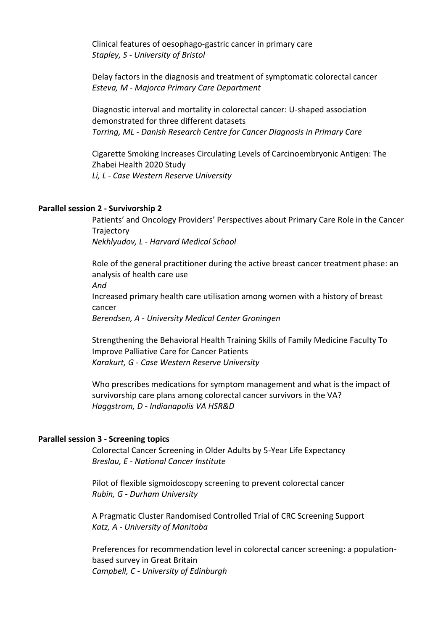Clinical features of oesophago-gastric cancer in primary care *Stapley, S - University of Bristol*

Delay factors in the diagnosis and treatment of symptomatic colorectal cancer *Esteva, M - Majorca Primary Care Department*

Diagnostic interval and mortality in colorectal cancer: U-shaped association demonstrated for three different datasets *Torring, ML - Danish Research Centre for Cancer Diagnosis in Primary Care*

Cigarette Smoking Increases Circulating Levels of Carcinoembryonic Antigen: The Zhabei Health 2020 Study *Li, L - Case Western Reserve University*

### **Parallel session 2 - Survivorship 2**

Patients' and Oncology Providers' Perspectives about Primary Care Role in the Cancer **Trajectory** 

*Nekhlyudov, L - Harvard Medical School*

Role of the general practitioner during the active breast cancer treatment phase: an analysis of health care use *And* Increased primary health care utilisation among women with a history of breast cancer *Berendsen, A - University Medical Center Groningen*

Strengthening the Behavioral Health Training Skills of Family Medicine Faculty To Improve Palliative Care for Cancer Patients *Karakurt, G - Case Western Reserve University*

Who prescribes medications for symptom management and what is the impact of survivorship care plans among colorectal cancer survivors in the VA? *Haggstrom, D - Indianapolis VA HSR&D*

#### **Parallel session 3 - Screening topics**

Colorectal Cancer Screening in Older Adults by 5-Year Life Expectancy *Breslau, E - National Cancer Institute*

Pilot of flexible sigmoidoscopy screening to prevent colorectal cancer *Rubin, G - Durham University*

A Pragmatic Cluster Randomised Controlled Trial of CRC Screening Support *Katz, A - University of Manitoba*

Preferences for recommendation level in colorectal cancer screening: a populationbased survey in Great Britain *Campbell, C - University of Edinburgh*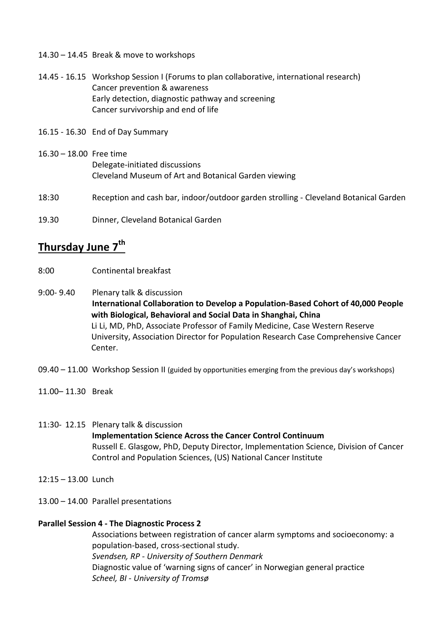- 14.30 14.45 Break & move to workshops
- 14.45 16.15 Workshop Session I (Forums to plan collaborative, international research) Cancer prevention & awareness Early detection, diagnostic pathway and screening Cancer survivorship and end of life
- 16.15 16.30 End of Day Summary
- 16.30 18.00 Free time Delegate-initiated discussions Cleveland Museum of Art and Botanical Garden viewing
- 18:30 Reception and cash bar, indoor/outdoor garden strolling Cleveland Botanical Garden
- 19.30 Dinner, Cleveland Botanical Garden

## **Thursday June 7th**

- 8:00 Continental breakfast
- 9:00- 9.40 Plenary talk & discussion **International Collaboration to Develop a Population-Based Cohort of 40,000 People with Biological, Behavioral and Social Data in Shanghai, China** Li Li, MD, PhD, Associate Professor of Family Medicine, Case Western Reserve University, Association Director for Population Research Case Comprehensive Cancer Center.
- 09.40 11.00 Workshop Session II (guided by opportunities emerging from the previous day's workshops)
- 11.00– 11.30 Break

11:30- 12.15 Plenary talk & discussion **Implementation Science Across the Cancer Control Continuum** Russell E. Glasgow, PhD, Deputy Director, Implementation Science, Division of Cancer Control and Population Sciences, (US) National Cancer Institute

- 12:15 13.00 Lunch
- 13.00 14.00 Parallel presentations

### **Parallel Session 4 - The Diagnostic Process 2**

Associations between registration of cancer alarm symptoms and socioeconomy: a population-based, cross-sectional study. *Svendsen, RP - University of Southern Denmark* Diagnostic value of 'warning signs of cancer' in Norwegian general practice *Scheel, BI - University of Tromsø*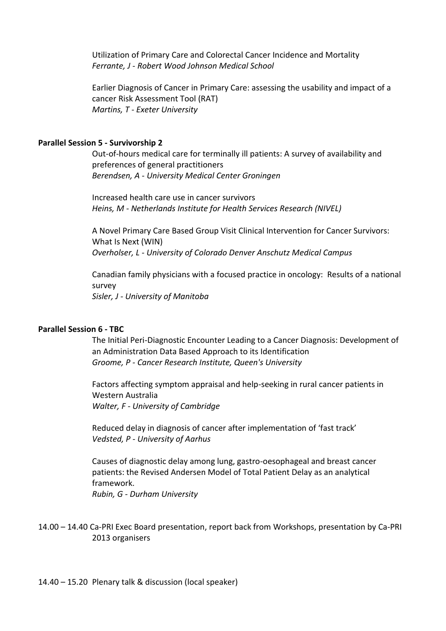Utilization of Primary Care and Colorectal Cancer Incidence and Mortality *Ferrante, J - Robert Wood Johnson Medical School*

Earlier Diagnosis of Cancer in Primary Care: assessing the usability and impact of a cancer Risk Assessment Tool (RAT) *Martins, T - Exeter University*

### **Parallel Session 5 - Survivorship 2**

Out-of-hours medical care for terminally ill patients: A survey of availability and preferences of general practitioners *Berendsen, A - University Medical Center Groningen*

Increased health care use in cancer survivors *Heins, M - Netherlands Institute for Health Services Research (NIVEL)*

A Novel Primary Care Based Group Visit Clinical Intervention for Cancer Survivors: What Is Next (WIN) *Overholser, L - University of Colorado Denver Anschutz Medical Campus*

Canadian family physicians with a focused practice in oncology: Results of a national survey *Sisler, J - University of Manitoba*

### **Parallel Session 6 - TBC**

The Initial Peri-Diagnostic Encounter Leading to a Cancer Diagnosis: Development of an Administration Data Based Approach to its Identification *Groome, P - Cancer Research Institute, Queen's University*

Factors affecting symptom appraisal and help-seeking in rural cancer patients in Western Australia *Walter, F - University of Cambridge*

Reduced delay in diagnosis of cancer after implementation of 'fast track' *Vedsted, P - University of Aarhus*

Causes of diagnostic delay among lung, gastro-oesophageal and breast cancer patients: the Revised Andersen Model of Total Patient Delay as an analytical framework. *Rubin, G - Durham University*

14.00 – 14.40 Ca-PRI Exec Board presentation, report back from Workshops, presentation by Ca-PRI 2013 organisers